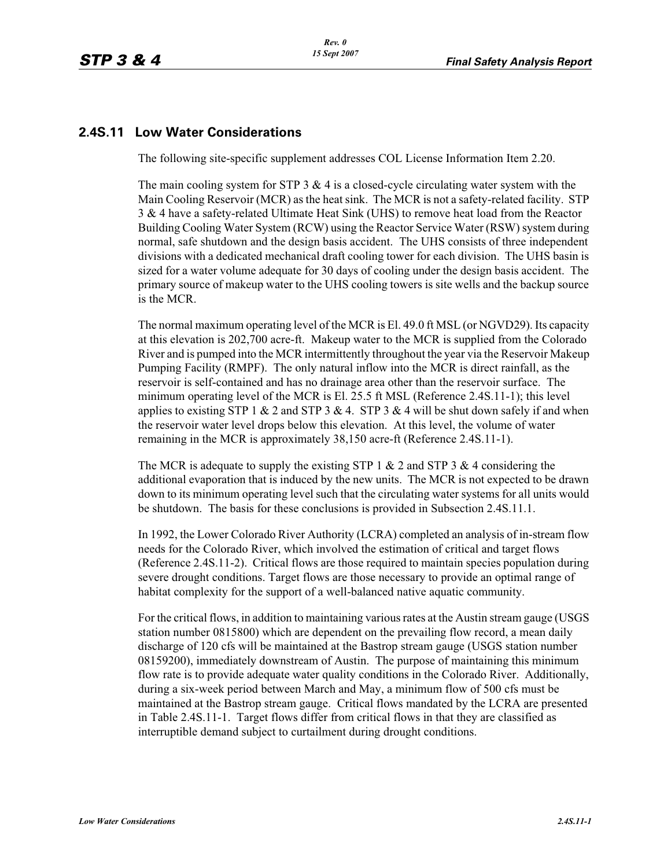## **2.4S.11 Low Water Considerations**

The following site-specific supplement addresses COL License Information Item 2.20.

The main cooling system for STP  $3 \& 4$  is a closed-cycle circulating water system with the Main Cooling Reservoir (MCR) as the heat sink. The MCR is not a safety-related facility. STP 3 & 4 have a safety-related Ultimate Heat Sink (UHS) to remove heat load from the Reactor Building Cooling Water System (RCW) using the Reactor Service Water (RSW) system during normal, safe shutdown and the design basis accident. The UHS consists of three independent divisions with a dedicated mechanical draft cooling tower for each division. The UHS basin is sized for a water volume adequate for 30 days of cooling under the design basis accident. The primary source of makeup water to the UHS cooling towers is site wells and the backup source is the MCR.

The normal maximum operating level of the MCR is El. 49.0 ft MSL (or NGVD29). Its capacity at this elevation is 202,700 acre-ft. Makeup water to the MCR is supplied from the Colorado River and is pumped into the MCR intermittently throughout the year via the Reservoir Makeup Pumping Facility (RMPF). The only natural inflow into the MCR is direct rainfall, as the reservoir is self-contained and has no drainage area other than the reservoir surface. The minimum operating level of the MCR is El. 25.5 ft MSL (Reference 2.4S.11-1); this level applies to existing STP 1  $& 2$  and STP 3  $& 4$ . STP 3  $& 4$  will be shut down safely if and when the reservoir water level drops below this elevation. At this level, the volume of water remaining in the MCR is approximately 38,150 acre-ft (Reference 2.4S.11-1).

The MCR is adequate to supply the existing STP 1  $& 2$  and STP 3  $& 4$  considering the additional evaporation that is induced by the new units. The MCR is not expected to be drawn down to its minimum operating level such that the circulating water systems for all units would be shutdown. The basis for these conclusions is provided in Subsection 2.4S.11.1.

In 1992, the Lower Colorado River Authority (LCRA) completed an analysis of in-stream flow needs for the Colorado River, which involved the estimation of critical and target flows (Reference 2.4S.11-2). Critical flows are those required to maintain species population during severe drought conditions. Target flows are those necessary to provide an optimal range of habitat complexity for the support of a well-balanced native aquatic community.

For the critical flows, in addition to maintaining various rates at the Austin stream gauge (USGS station number 0815800) which are dependent on the prevailing flow record, a mean daily discharge of 120 cfs will be maintained at the Bastrop stream gauge (USGS station number 08159200), immediately downstream of Austin. The purpose of maintaining this minimum flow rate is to provide adequate water quality conditions in the Colorado River. Additionally, during a six-week period between March and May, a minimum flow of 500 cfs must be maintained at the Bastrop stream gauge. Critical flows mandated by the LCRA are presented in Table 2.4S.11-1. Target flows differ from critical flows in that they are classified as interruptible demand subject to curtailment during drought conditions.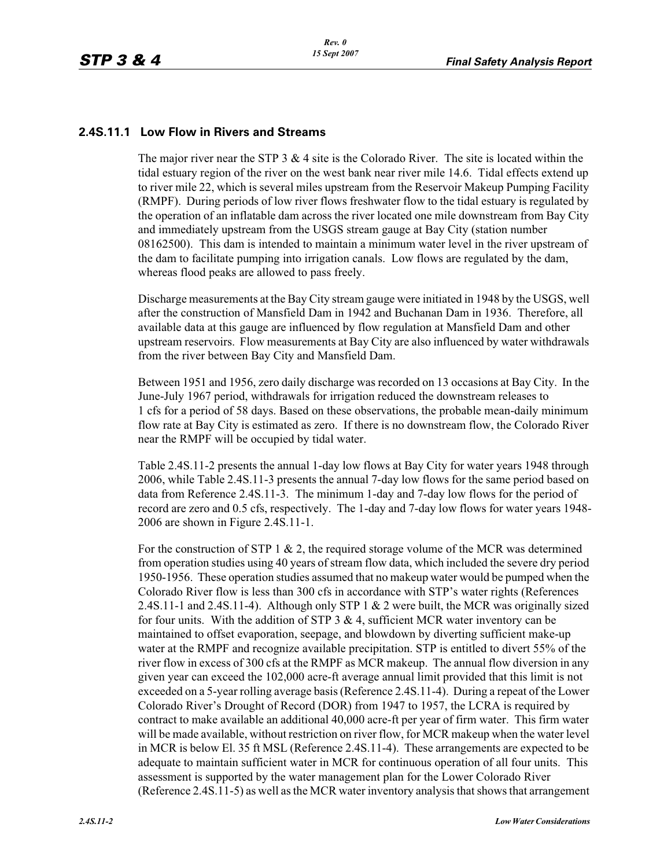## **2.4S.11.1 Low Flow in Rivers and Streams**

The major river near the STP 3  $& 4$  site is the Colorado River. The site is located within the tidal estuary region of the river on the west bank near river mile 14.6. Tidal effects extend up to river mile 22, which is several miles upstream from the Reservoir Makeup Pumping Facility (RMPF). During periods of low river flows freshwater flow to the tidal estuary is regulated by the operation of an inflatable dam across the river located one mile downstream from Bay City and immediately upstream from the USGS stream gauge at Bay City (station number 08162500). This dam is intended to maintain a minimum water level in the river upstream of the dam to facilitate pumping into irrigation canals. Low flows are regulated by the dam, whereas flood peaks are allowed to pass freely.

Discharge measurements at the Bay City stream gauge were initiated in 1948 by the USGS, well after the construction of Mansfield Dam in 1942 and Buchanan Dam in 1936. Therefore, all available data at this gauge are influenced by flow regulation at Mansfield Dam and other upstream reservoirs. Flow measurements at Bay City are also influenced by water withdrawals from the river between Bay City and Mansfield Dam.

Between 1951 and 1956, zero daily discharge was recorded on 13 occasions at Bay City. In the June-July 1967 period, withdrawals for irrigation reduced the downstream releases to 1 cfs for a period of 58 days. Based on these observations, the probable mean-daily minimum flow rate at Bay City is estimated as zero. If there is no downstream flow, the Colorado River near the RMPF will be occupied by tidal water.

Table 2.4S.11-2 presents the annual 1-day low flows at Bay City for water years 1948 through 2006, while Table 2.4S.11-3 presents the annual 7-day low flows for the same period based on data from Reference 2.4S.11-3. The minimum 1-day and 7-day low flows for the period of record are zero and 0.5 cfs, respectively. The 1-day and 7-day low flows for water years 1948- 2006 are shown in Figure 2.4S.11-1.

For the construction of STP 1  $\&$  2, the required storage volume of the MCR was determined from operation studies using 40 years of stream flow data, which included the severe dry period 1950-1956. These operation studies assumed that no makeup water would be pumped when the Colorado River flow is less than 300 cfs in accordance with STP's water rights (References 2.4S.11-1 and 2.4S.11-4). Although only STP 1 & 2 were built, the MCR was originally sized for four units. With the addition of STP  $3 \& 4$ , sufficient MCR water inventory can be maintained to offset evaporation, seepage, and blowdown by diverting sufficient make-up water at the RMPF and recognize available precipitation. STP is entitled to divert 55% of the river flow in excess of 300 cfs at the RMPF as MCR makeup. The annual flow diversion in any given year can exceed the 102,000 acre-ft average annual limit provided that this limit is not exceeded on a 5-year rolling average basis (Reference 2.4S.11-4). During a repeat of the Lower Colorado River's Drought of Record (DOR) from 1947 to 1957, the LCRA is required by contract to make available an additional 40,000 acre-ft per year of firm water. This firm water will be made available, without restriction on river flow, for MCR makeup when the water level in MCR is below El. 35 ft MSL (Reference 2.4S.11-4). These arrangements are expected to be adequate to maintain sufficient water in MCR for continuous operation of all four units. This assessment is supported by the water management plan for the Lower Colorado River (Reference 2.4S.11-5) as well as the MCR water inventory analysis that shows that arrangement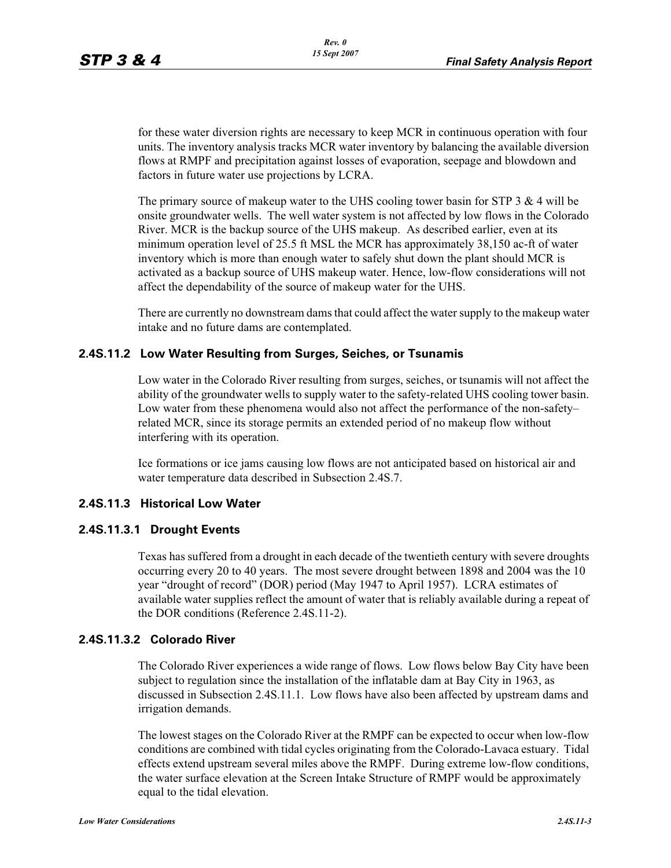for these water diversion rights are necessary to keep MCR in continuous operation with four units. The inventory analysis tracks MCR water inventory by balancing the available diversion flows at RMPF and precipitation against losses of evaporation, seepage and blowdown and factors in future water use projections by LCRA.

The primary source of makeup water to the UHS cooling tower basin for STP 3  $\&$  4 will be onsite groundwater wells. The well water system is not affected by low flows in the Colorado River. MCR is the backup source of the UHS makeup. As described earlier, even at its minimum operation level of 25.5 ft MSL the MCR has approximately 38,150 ac-ft of water inventory which is more than enough water to safely shut down the plant should MCR is activated as a backup source of UHS makeup water. Hence, low-flow considerations will not affect the dependability of the source of makeup water for the UHS.

There are currently no downstream dams that could affect the water supply to the makeup water intake and no future dams are contemplated.

#### **2.4S.11.2 Low Water Resulting from Surges, Seiches, or Tsunamis**

Low water in the Colorado River resulting from surges, seiches, or tsunamis will not affect the ability of the groundwater wells to supply water to the safety-related UHS cooling tower basin. Low water from these phenomena would also not affect the performance of the non-safety– related MCR, since its storage permits an extended period of no makeup flow without interfering with its operation.

Ice formations or ice jams causing low flows are not anticipated based on historical air and water temperature data described in Subsection 2.4S.7.

#### **2.4S.11.3 Historical Low Water**

#### **2.4S.11.3.1 Drought Events**

Texas has suffered from a drought in each decade of the twentieth century with severe droughts occurring every 20 to 40 years. The most severe drought between 1898 and 2004 was the 10 year "drought of record" (DOR) period (May 1947 to April 1957). LCRA estimates of available water supplies reflect the amount of water that is reliably available during a repeat of the DOR conditions (Reference 2.4S.11-2).

#### **2.4S.11.3.2 Colorado River**

The Colorado River experiences a wide range of flows. Low flows below Bay City have been subject to regulation since the installation of the inflatable dam at Bay City in 1963, as discussed in Subsection 2.4S.11.1. Low flows have also been affected by upstream dams and irrigation demands.

The lowest stages on the Colorado River at the RMPF can be expected to occur when low-flow conditions are combined with tidal cycles originating from the Colorado-Lavaca estuary. Tidal effects extend upstream several miles above the RMPF. During extreme low-flow conditions, the water surface elevation at the Screen Intake Structure of RMPF would be approximately equal to the tidal elevation.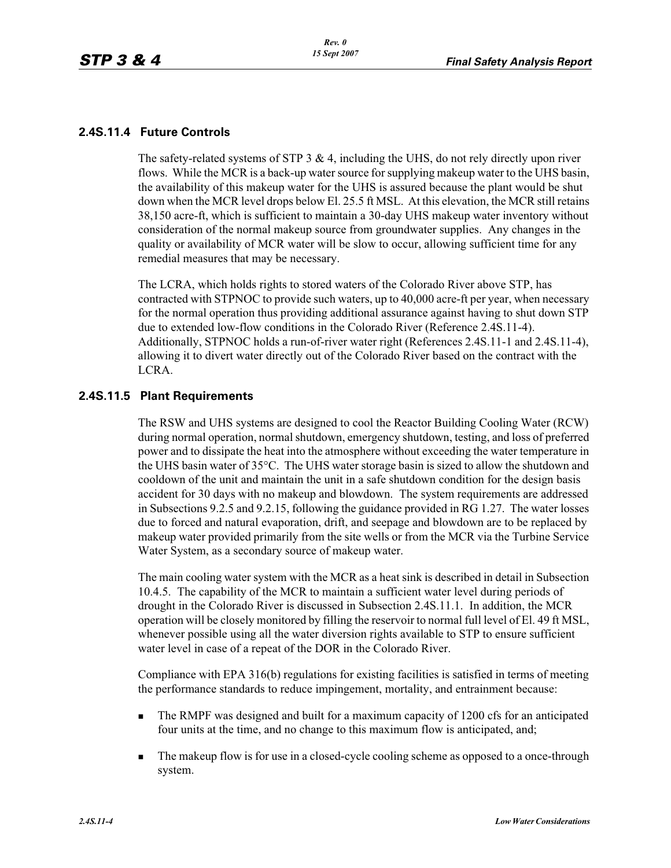#### **2.4S.11.4 Future Controls**

The safety-related systems of STP 3 & 4, including the UHS, do not rely directly upon river flows. While the MCR is a back-up water source for supplying makeup water to the UHS basin, the availability of this makeup water for the UHS is assured because the plant would be shut down when the MCR level drops below El. 25.5 ft MSL. At this elevation, the MCR still retains 38,150 acre-ft, which is sufficient to maintain a 30-day UHS makeup water inventory without consideration of the normal makeup source from groundwater supplies. Any changes in the quality or availability of MCR water will be slow to occur, allowing sufficient time for any remedial measures that may be necessary.

The LCRA, which holds rights to stored waters of the Colorado River above STP, has contracted with STPNOC to provide such waters, up to 40,000 acre-ft per year, when necessary for the normal operation thus providing additional assurance against having to shut down STP due to extended low-flow conditions in the Colorado River (Reference 2.4S.11-4). Additionally, STPNOC holds a run-of-river water right (References 2.4S.11-1 and 2.4S.11-4), allowing it to divert water directly out of the Colorado River based on the contract with the LCRA.

#### **2.4S.11.5 Plant Requirements**

The RSW and UHS systems are designed to cool the Reactor Building Cooling Water (RCW) during normal operation, normal shutdown, emergency shutdown, testing, and loss of preferred power and to dissipate the heat into the atmosphere without exceeding the water temperature in the UHS basin water of 35°C. The UHS water storage basin is sized to allow the shutdown and cooldown of the unit and maintain the unit in a safe shutdown condition for the design basis accident for 30 days with no makeup and blowdown. The system requirements are addressed in Subsections 9.2.5 and 9.2.15, following the guidance provided in RG 1.27. The water losses due to forced and natural evaporation, drift, and seepage and blowdown are to be replaced by makeup water provided primarily from the site wells or from the MCR via the Turbine Service Water System, as a secondary source of makeup water.

The main cooling water system with the MCR as a heat sink is described in detail in Subsection 10.4.5. The capability of the MCR to maintain a sufficient water level during periods of drought in the Colorado River is discussed in Subsection 2.4S.11.1. In addition, the MCR operation will be closely monitored by filling the reservoir to normal full level of El. 49 ft MSL, whenever possible using all the water diversion rights available to STP to ensure sufficient water level in case of a repeat of the DOR in the Colorado River.

Compliance with EPA 316(b) regulations for existing facilities is satisfied in terms of meeting the performance standards to reduce impingement, mortality, and entrainment because:

- - The RMPF was designed and built for a maximum capacity of 1200 cfs for an anticipated four units at the time, and no change to this maximum flow is anticipated, and;
- - The makeup flow is for use in a closed-cycle cooling scheme as opposed to a once-through system.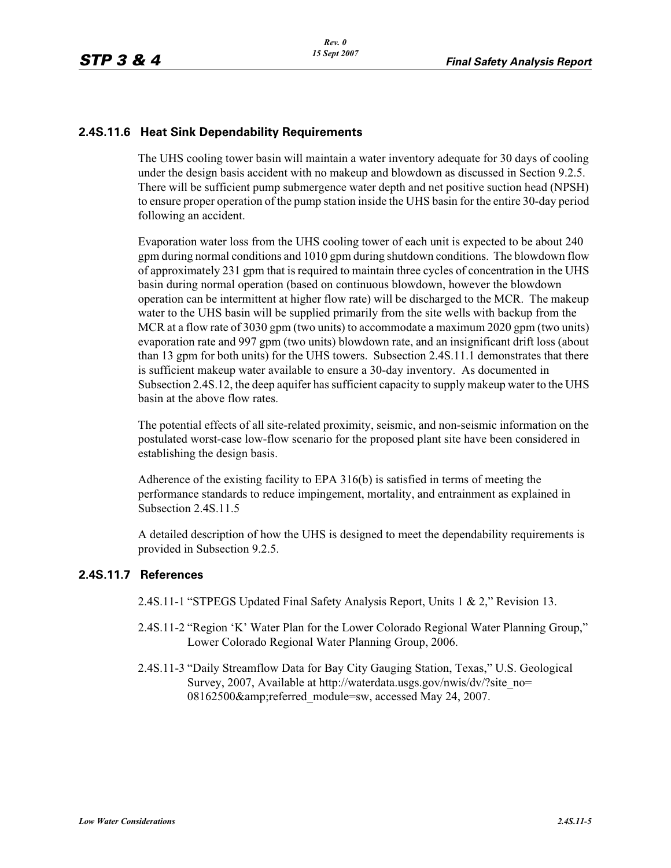## **2.4S.11.6 Heat Sink Dependability Requirements**

The UHS cooling tower basin will maintain a water inventory adequate for 30 days of cooling under the design basis accident with no makeup and blowdown as discussed in Section 9.2.5. There will be sufficient pump submergence water depth and net positive suction head (NPSH) to ensure proper operation of the pump station inside the UHS basin for the entire 30-day period following an accident.

Evaporation water loss from the UHS cooling tower of each unit is expected to be about 240 gpm during normal conditions and 1010 gpm during shutdown conditions. The blowdown flow of approximately 231 gpm that is required to maintain three cycles of concentration in the UHS basin during normal operation (based on continuous blowdown, however the blowdown operation can be intermittent at higher flow rate) will be discharged to the MCR. The makeup water to the UHS basin will be supplied primarily from the site wells with backup from the MCR at a flow rate of 3030 gpm (two units) to accommodate a maximum 2020 gpm (two units) evaporation rate and 997 gpm (two units) blowdown rate, and an insignificant drift loss (about than 13 gpm for both units) for the UHS towers. Subsection 2.4S.11.1 demonstrates that there is sufficient makeup water available to ensure a 30-day inventory. As documented in Subsection 2.4S.12, the deep aquifer has sufficient capacity to supply makeup water to the UHS basin at the above flow rates.

The potential effects of all site-related proximity, seismic, and non-seismic information on the postulated worst-case low-flow scenario for the proposed plant site have been considered in establishing the design basis.

Adherence of the existing facility to EPA 316(b) is satisfied in terms of meeting the performance standards to reduce impingement, mortality, and entrainment as explained in Subsection 2.4S.11.5

A detailed description of how the UHS is designed to meet the dependability requirements is provided in Subsection 9.2.5.

#### **2.4S.11.7 References**

2.4S.11-1 "STPEGS Updated Final Safety Analysis Report, Units 1 & 2," Revision 13.

- 2.4S.11-2 "Region 'K' Water Plan for the Lower Colorado Regional Water Planning Group," Lower Colorado Regional Water Planning Group, 2006.
- 2.4S.11-3 "Daily Streamflow Data for Bay City Gauging Station, Texas," U.S. Geological Survey, 2007, Available at http://waterdata.usgs.gov/nwis/dv/?site\_no= 08162500& referred\_module=sw, accessed May 24, 2007.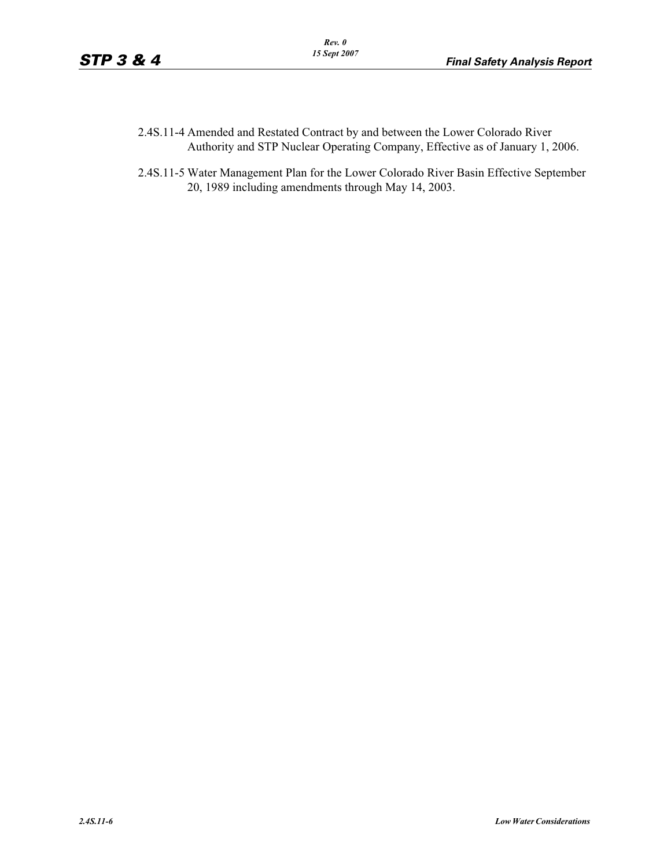- 2.4S.11-4 Amended and Restated Contract by and between the Lower Colorado River Authority and STP Nuclear Operating Company, Effective as of January 1, 2006.
- 2.4S.11-5 Water Management Plan for the Lower Colorado River Basin Effective September 20, 1989 including amendments through May 14, 2003.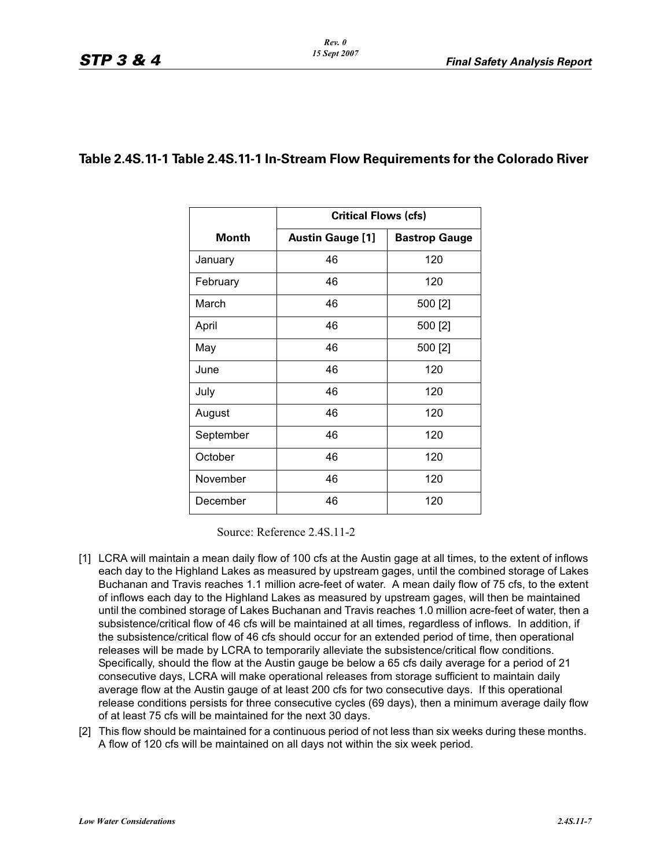# **Table 2.4S.11-1 Table 2.4S.11-1 In-Stream Flow Requirements for the Colorado River**

|           | <b>Critical Flows (cfs)</b> |                      |  |  |  |
|-----------|-----------------------------|----------------------|--|--|--|
| Month     | <b>Austin Gauge [1]</b>     | <b>Bastrop Gauge</b> |  |  |  |
| January   | 46                          | 120                  |  |  |  |
| February  | 46                          | 120                  |  |  |  |
| March     | 46                          | 500 [2]              |  |  |  |
| April     | 46                          | 500 [2]              |  |  |  |
| May       | 46                          | 500 [2]              |  |  |  |
| June      | 46                          | 120                  |  |  |  |
| July      | 46                          | 120                  |  |  |  |
| August    | 46                          | 120                  |  |  |  |
| September | 46                          | 120                  |  |  |  |
| October   | 46                          | 120                  |  |  |  |
| November  | 46                          | 120                  |  |  |  |
| December  | 46                          | 120                  |  |  |  |

Source: Reference 2.4S.11-2

- [1] LCRA will maintain a mean daily flow of 100 cfs at the Austin gage at all times, to the extent of inflows each day to the Highland Lakes as measured by upstream gages, until the combined storage of Lakes Buchanan and Travis reaches 1.1 million acre-feet of water. A mean daily flow of 75 cfs, to the extent of inflows each day to the Highland Lakes as measured by upstream gages, will then be maintained until the combined storage of Lakes Buchanan and Travis reaches 1.0 million acre-feet of water, then a subsistence/critical flow of 46 cfs will be maintained at all times, regardless of inflows. In addition, if the subsistence/critical flow of 46 cfs should occur for an extended period of time, then operational releases will be made by LCRA to temporarily alleviate the subsistence/critical flow conditions. Specifically, should the flow at the Austin gauge be below a 65 cfs daily average for a period of 21 consecutive days, LCRA will make operational releases from storage sufficient to maintain daily average flow at the Austin gauge of at least 200 cfs for two consecutive days. If this operational release conditions persists for three consecutive cycles (69 days), then a minimum average daily flow of at least 75 cfs will be maintained for the next 30 days.
- [2] This flow should be maintained for a continuous period of not less than six weeks during these months. A flow of 120 cfs will be maintained on all days not within the six week period.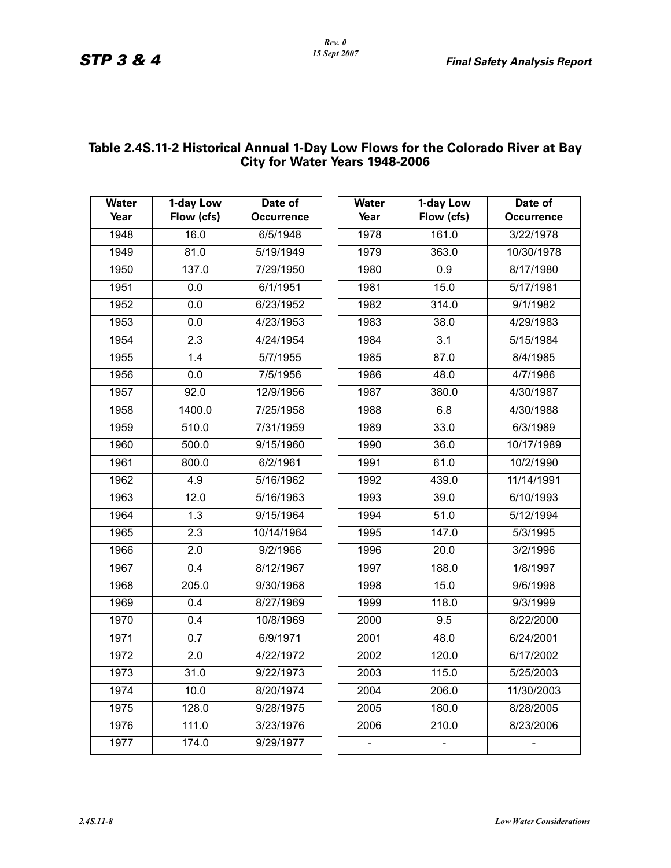# **Table 2.4S.11-2 Historical Annual 1-Day Low Flows for the Colorado River at Bay City for Water Years 1948-2006**

| <b>Water</b> | 1-day Low          | Date of           | <b>Water</b>                 | 1-day Low  | Date of           |
|--------------|--------------------|-------------------|------------------------------|------------|-------------------|
| Year         | Flow (cfs)         | <b>Occurrence</b> | Year                         | Flow (cfs) | <b>Occurrence</b> |
| 1948         | 16.0               | 6/5/1948          | 1978                         | 161.0      | 3/22/1978         |
| 1949         | 81.0               | 5/19/1949         | 1979                         | 363.0      | 10/30/1978        |
| 1950         | 137.0              | 7/29/1950         | 1980                         | 0.9        | 8/17/1980         |
| 1951         | 0.0                | 6/1/1951          | 1981                         | 15.0       | 5/17/1981         |
| 1952         | 0.0                | 6/23/1952         | 1982                         | 314.0      | 9/1/1982          |
| 1953         | 0.0                | 4/23/1953         | 1983                         | 38.0       | 4/29/1983         |
| 1954         | 2.3                | 4/24/1954         | 1984                         | 3.1        | 5/15/1984         |
| 1955         | 1.4                | 5/7/1955          | 1985                         | 87.0       | 8/4/1985          |
| 1956         | 0.0                | 7/5/1956          | 1986                         | 48.0       | 4/7/1986          |
| 1957         | 92.0               | 12/9/1956         | 1987                         | 380.0      | 4/30/1987         |
| 1958         | 1400.0             | 7/25/1958         | 1988                         | 6.8        | 4/30/1988         |
| 1959         | 510.0              | 7/31/1959         | 1989                         | 33.0       | 6/3/1989          |
| 1960         | 500.0              | 9/15/1960         | 1990                         | 36.0       | 10/17/1989        |
| 1961         | 800.0              | 6/2/1961          | 1991                         | 61.0       | 10/2/1990         |
| 1962         | 4.9                | 5/16/1962         | 1992                         | 439.0      | 11/14/1991        |
| 1963         | 12.0               | 5/16/1963         | 1993                         | 39.0       | 6/10/1993         |
| 1964         | $\overline{1.3}$   | 9/15/1964         | 1994                         | 51.0       | 5/12/1994         |
| 1965         | 2.3                | 10/14/1964        | 1995                         | 147.0      | 5/3/1995          |
| 1966         | 2.0                | 9/2/1966          | 1996                         | 20.0       | 3/2/1996          |
| 1967         | 0.4                | 8/12/1967         | 1997                         | 188.0      | 1/8/1997          |
| 1968         | 205.0              | 9/30/1968         | 1998                         | 15.0       | 9/6/1998          |
| 1969         | 0.4                | 8/27/1969         | 1999                         | 118.0      | 9/3/1999          |
| 1970         | 0.4                | 10/8/1969         | 2000                         | 9.5        | 8/22/2000         |
| 1971         | 0.7                | 6/9/1971          | 2001                         | 48.0       | 6/24/2001         |
| 1972         | $\overline{2.0}$   | 4/22/1972         | 2002                         | 120.0      | 6/17/2002         |
| 1973         | 31.0               | 9/22/1973         | 2003                         | 115.0      | 5/25/2003         |
| 1974         | $\overline{10.0}$  | 8/20/1974         | 2004                         | 206.0      | 11/30/2003        |
| 1975         | 128.0              | 9/28/1975         | 2005                         | 180.0      | 8/28/2005         |
| 1976         | $\overline{111.0}$ | 3/23/1976         | 2006                         | 210.0      | 8/23/2006         |
| 1977         | 174.0              | 9/29/1977         | $\qquad \qquad \blacksquare$ |            |                   |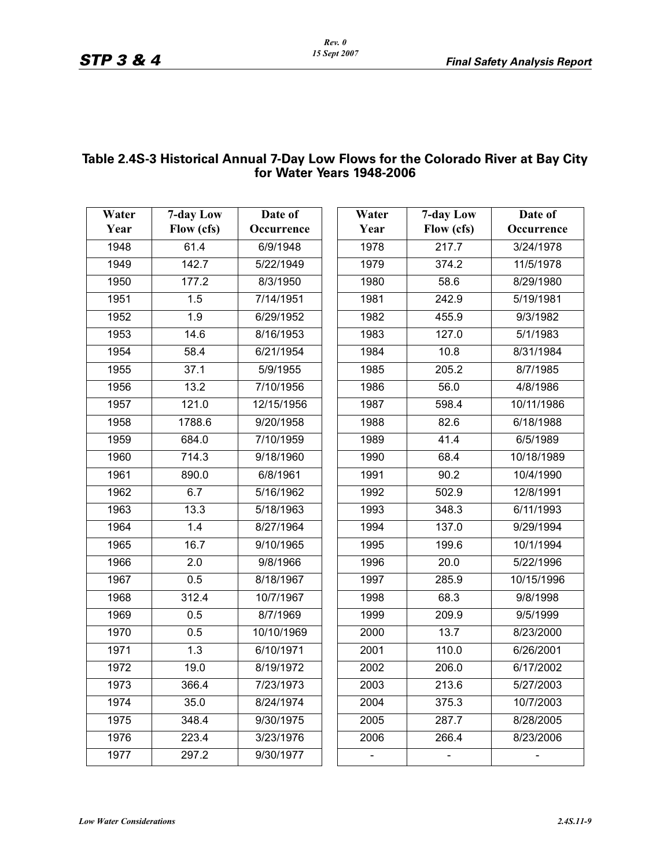## **Table 2.4S-3 Historical Annual 7-Day Low Flows for the Colorado River at Bay City for Water Years 1948-2006**

| Water<br>Year | 7-day Low<br>Flow (cfs) | Date of<br>Occurrence | Water<br>Year | 7-day Low<br>Flow (cfs) | Date of<br>Occurrence |
|---------------|-------------------------|-----------------------|---------------|-------------------------|-----------------------|
| 1948          | 61.4                    | 6/9/1948              | 1978          | 217.7                   | 3/24/1978             |
| 1949          | 142.7                   | 5/22/1949             | 1979          | 374.2                   | 11/5/1978             |
| 1950          | 177.2                   | 8/3/1950              | 1980          | 58.6                    | 8/29/1980             |
| 1951          | 1.5                     | 7/14/1951             | 1981          | 242.9                   | 5/19/1981             |
| 1952          | 1.9                     | 6/29/1952             | 1982          | 455.9                   | 9/3/1982              |
| 1953          | 14.6                    | 8/16/1953             | 1983          | 127.0                   | 5/1/1983              |
| 1954          | 58.4                    | 6/21/1954             | 1984          | 10.8                    | 8/31/1984             |
| 1955          | 37.1                    | 5/9/1955              | 1985          | 205.2                   | 8/7/1985              |
| 1956          | 13.2                    | 7/10/1956             | 1986          | 56.0                    | 4/8/1986              |
| 1957          | 121.0                   | 12/15/1956            | 1987          | 598.4                   | 10/11/1986            |
| 1958          | 1788.6                  | 9/20/1958             | 1988          | 82.6                    | 6/18/1988             |
| 1959          | 684.0                   | 7/10/1959             | 1989          | 41.4                    | 6/5/1989              |
| 1960          | 714.3                   | 9/18/1960             | 1990          | 68.4                    | 10/18/1989            |
| 1961          | 890.0                   | 6/8/1961              | 1991          | 90.2                    | 10/4/1990             |
| 1962          | 6.7                     | 5/16/1962             | 1992          | 502.9                   | 12/8/1991             |
| 1963          | 13.3                    | 5/18/1963             | 1993          | 348.3                   | 6/11/1993             |
| 1964          | 1.4                     | 8/27/1964             | 1994          | 137.0                   | 9/29/1994             |
| 1965          | 16.7                    | 9/10/1965             | 1995          | 199.6                   | 10/1/1994             |
| 1966          | $\overline{2.0}$        | 9/8/1966              | 1996          | 20.0                    | 5/22/1996             |
| 1967          | 0.5                     | 8/18/1967             | 1997          | 285.9                   | 10/15/1996            |
| 1968          | 312.4                   | 10/7/1967             | 1998          | 68.3                    | 9/8/1998              |
| 1969          | 0.5                     | 8/7/1969              | 1999          | 209.9                   | 9/5/1999              |
| 1970          | 0.5                     | 10/10/1969            | 2000          | 13.7                    | 8/23/2000             |
| 1971          | 1.3                     | 6/10/1971             | 2001          | 110.0                   | 6/26/2001             |
| 1972          | 19.0                    | 8/19/1972             | 2002          | 206.0                   | 6/17/2002             |
| 1973          | 366.4                   | 7/23/1973             | 2003          | 213.6                   | 5/27/2003             |
| 1974          | 35.0                    | 8/24/1974             | 2004          | 375.3                   | 10/7/2003             |
| 1975          | 348.4                   | 9/30/1975             | 2005          | 287.7                   | 8/28/2005             |
| 1976          | 223.4                   | 3/23/1976             | 2006          | 266.4                   | 8/23/2006             |
| 1977          | 297.2                   | 9/30/1977             |               |                         |                       |